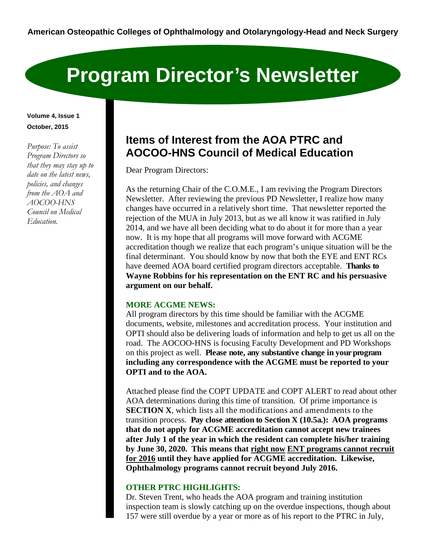# **Program Director's Newsletter**

## **Volume 4, Issue 1 October, 2015**

*Purpose: To assist Program Directors so that they may stay up to date on the latest news, policies, and changes from the AOA and AOCOO-HNS Council on Medical Education.* 

# **Items of Interest from the AOA PTRC and AOCOO-HNS Council of Medical Education**

Dear Program Directors:

As the returning Chair of the C.O.M.E., I am reviving the Program Directors Newsletter. After reviewing the previous PD Newsletter, I realize how many changes have occurred in a relatively short time. That newsletter reported the rejection of the MUA in July 2013, but as we all know it was ratified in July 2014, and we have all been deciding what to do about it for more than a year now. It is my hope that all programs will move forward with ACGME accreditation though we realize that each program's unique situation will be the final determinant. You should know by now that both the EYE and ENT RCs have deemed AOA board certified program directors acceptable. **Thanks to Wayne Robbins for his representation on the ENT RC and his persuasive argument on our behalf.** 

# **MORE ACGME NEWS:**

All program directors by this time should be familiar with the ACGME documents, website, milestones and accreditation process. Your institution and OPTI should also be delivering loads of information and help to get us all on the road. The AOCOO-HNS is focusing Faculty Development and PD Workshops on this project as well. **Please note, any substantive change in your program including any correspondence with the ACGME must be reported to your OPTI and to the AOA.**

Attached please find the COPT UPDATE and COPT ALERT to read about other AOA determinations during this time of transition. Of prime importance is **SECTION X**, which lists all the modifications and amendments to the transition process. **Pay close attention to Section X (10.5a.): AOA programs that do not apply for ACGME accreditation cannot accept new trainees after July 1 of the year in which the resident can complete his/her training by June 30, 2020. This means that right now ENT programs cannot recruit for 2016 until they have applied for ACGME accreditation. Likewise, Ophthalmology programs cannot recruit beyond July 2016.** 

# **OTHER PTRC HIGHLIGHTS:**

Dr. Steven Trent, who heads the AOA program and training institution inspection team is slowly catching up on the overdue inspections, though about 157 were still overdue by a year or more as of his report to the PTRC in July,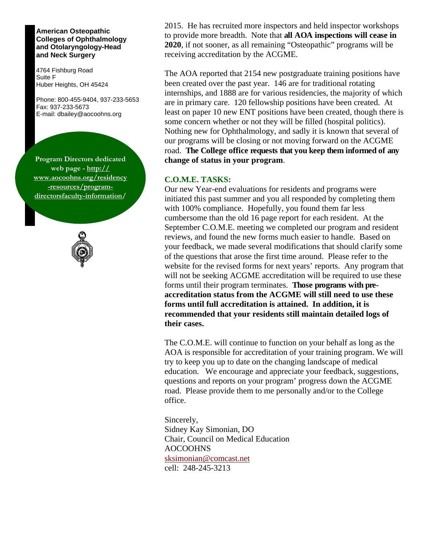#### **American Osteopathic Colleges of Ophthalmology and Otolaryngology-Head and Neck Surgery**

4764 Fishburg Road Suite F Huber Heights, OH 45424

Phone: 800-455-9404, 937-233-5653 Fax: 937-233-5673 E-mail: dbailey@aocoohns.org

**Program Directors dedicated web page - http:// www.aocoohns.org/residency -resources/programdirectorsfaculty-information/** 



2015. He has recruited more inspectors and held inspector workshops to provide more breadth. Note that **all AOA inspections will cease in 2020**, if not sooner, as all remaining "Osteopathic" programs will be receiving accreditation by the ACGME.

The AOA reported that 2154 new postgraduate training positions have been created over the past year. 146 are for traditional rotating internships, and 1888 are for various residencies, the majority of which are in primary care. 120 fellowship positions have been created. At least on paper 10 new ENT positions have been created, though there is some concern whether or not they will be filled (hospital politics). Nothing new for Ophthalmology, and sadly it is known that several of our programs will be closing or not moving forward on the ACGME road. **The College office requests that you keep them informed of any change of status in your program**.

### **C.O.M.E. TASKS:**

Our new Year-end evaluations for residents and programs were initiated this past summer and you all responded by completing them with 100% compliance. Hopefully, you found them far less cumbersome than the old 16 page report for each resident. At the September C.O.M.E. meeting we completed our program and resident reviews, and found the new forms much easier to handle. Based on your feedback, we made several modifications that should clarify some of the questions that arose the first time around. Please refer to the website for the revised forms for next years' reports. Any program that will not be seeking ACGME accreditation will be required to use these forms until their program terminates. **Those programs with preaccreditation status from the ACGME will still need to use these forms until full accreditation is attained. In addition, it is recommended that your residents still maintain detailed logs of their cases.** 

The C.O.M.E. will continue to function on your behalf as long as the AOA is responsible for accreditation of your training program. We will try to keep you up to date on the changing landscape of medical education. We encourage and appreciate your feedback, suggestions, questions and reports on your program' progress down the ACGME road. Please provide them to me personally and/or to the College office.

Sincerely, Sidney Kay Simonian, DO Chair, Council on Medical Education AOCOOHNS sksimonian@comcast.net cell: 248-245-3213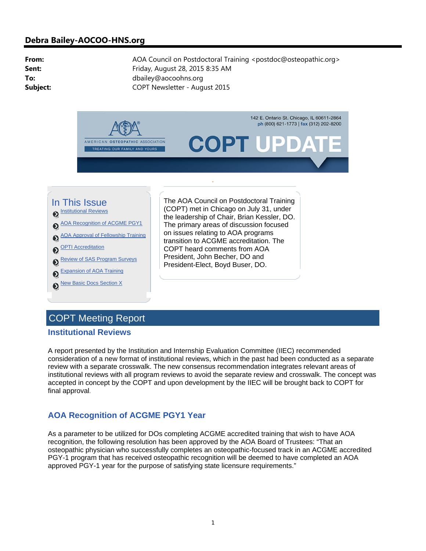# **Debra Bailey-AOCOO-HNS.org**

**From:** AOA Council on Postdoctoral Training <postdoc@osteopathic.org> **Sent:** Friday, August 28, 2015 8:35 AM **To:** dbailey@aocoohns.org **Subject:** COPT Newsletter - August 2015



# COPT Meeting Report

#### **Institutional Reviews**

A report presented by the Institution and Internship Evaluation Committee (IIEC) recommended consideration of a new format of institutional reviews, which in the past had been conducted as a separate review with a separate crosswalk. The new consensus recommendation integrates relevant areas of institutional reviews with all program reviews to avoid the separate review and crosswalk. The concept was accepted in concept by the COPT and upon development by the IIEC will be brought back to COPT for final approval.

# **AOA Recognition of ACGME PGY1 Year**

As a parameter to be utilized for DOs completing ACGME accredited training that wish to have AOA recognition, the following resolution has been approved by the AOA Board of Trustees: "That an osteopathic physician who successfully completes an osteopathic-focused track in an ACGME accredited PGY-1 program that has received osteopathic recognition will be deemed to have completed an AOA approved PGY-1 year for the purpose of satisfying state licensure requirements."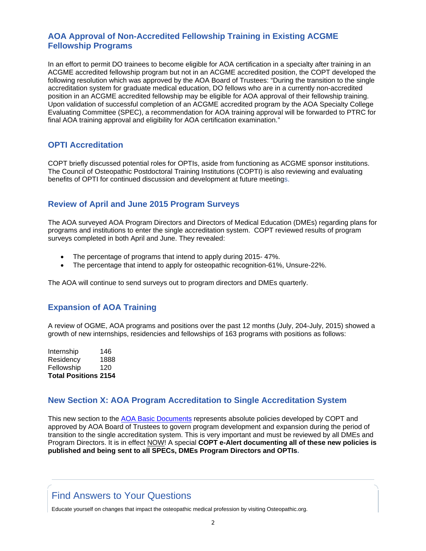# **AOA Approval of Non-Accredited Fellowship Training in Existing ACGME Fellowship Programs**

In an effort to permit DO trainees to become eligible for AOA certification in a specialty after training in an ACGME accredited fellowship program but not in an ACGME accredited position, the COPT developed the following resolution which was approved by the AOA Board of Trustees: "During the transition to the single accreditation system for graduate medical education, DO fellows who are in a currently non-accredited position in an ACGME accredited fellowship may be eligible for AOA approval of their fellowship training. Upon validation of successful completion of an ACGME accredited program by the AOA Specialty College Evaluating Committee (SPEC), a recommendation for AOA training approval will be forwarded to PTRC for final AOA training approval and eligibility for AOA certification examination."

# **OPTI Accreditation**

COPT briefly discussed potential roles for OPTIs, aside from functioning as ACGME sponsor institutions. The Council of Osteopathic Postdoctoral Training Institutions (COPTI) is also reviewing and evaluating benefits of OPTI for continued discussion and development at future meetings.

# **Review of April and June 2015 Program Surveys**

The AOA surveyed AOA Program Directors and Directors of Medical Education (DMEs) regarding plans for programs and institutions to enter the single accreditation system. COPT reviewed results of program surveys completed in both April and June. They revealed:

- The percentage of programs that intend to apply during 2015- 47%.
- The percentage that intend to apply for osteopathic recognition-61%, Unsure-22%.

The AOA will continue to send surveys out to program directors and DMEs quarterly.

# **Expansion of AOA Training**

A review of OGME, AOA programs and positions over the past 12 months (July, 204-July, 2015) showed a growth of new internships, residencies and fellowships of 163 programs with positions as follows:

Internship 146 Residency 1888 Fellowship 120 **Total Positions 2154**

# **New Section X: AOA Program Accreditation to Single Accreditation System**

This new section to the AOA Basic Documents represents absolute policies developed by COPT and approved by AOA Board of Trustees to govern program development and expansion during the period of transition to the single accreditation system. This is very important and must be reviewed by all DMEs and Program Directors. It is in effect NOW! A special **COPT e-Alert documenting all of these new policies is published and being sent to all SPECs, DMEs Program Directors and OPTIs.**

# Find Answers to Your Questions

Educate yourself on changes that impact the osteopathic medical profession by visiting Osteopathic.org.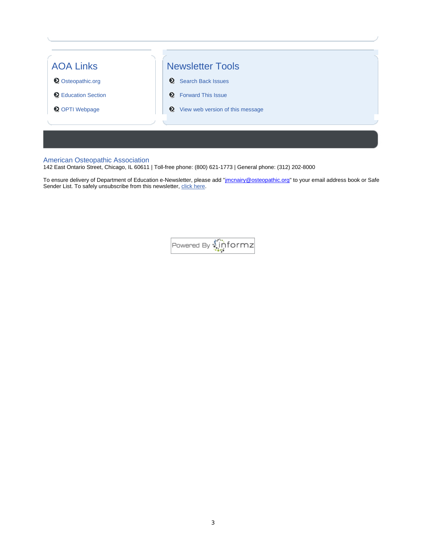

#### American Osteopathic Association

142 East Ontario Street, Chicago, IL 60611 | Toll-free phone: (800) 621-1773 | General phone: (312) 202-8000

To ensure delivery of Department of Education e-Newsletter, please add "<u>imcnairy@osteopathic.org</u>" to your email address book or Safe Sender List. To safely unsubscribe from this newsletter, click here.

Powered By **Miniformz**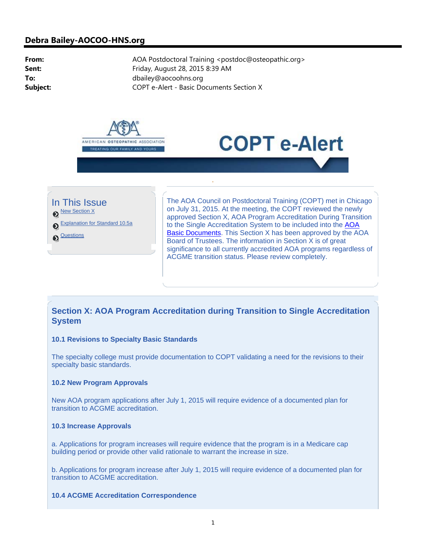## **Debra Bailey-AOCOO-HNS.org**

From: AOA Postdoctoral Training <postdoc@osteopathic.org> **Sent:** Friday, August 28, 2015 8:39 AM **To:** dbailey@aocoohns.org **Subject:** COPT e-Alert - Basic Documents Section X







New Section X

Explanation for Standard 10.5a

<sup>Questions</sup>

The AOA Council on Postdoctoral Training (COPT) met in Chicago on July 31, 2015. At the meeting, the COPT reviewed the newly approved Section X, AOA Program Accreditation During Transition to the Single Accreditation System to be included into the AOA Basic Documents. This Section X has been approved by the AOA Board of Trustees. The information in Section X is of great significance to all currently accredited AOA programs regardless of ACGME transition status. Please review completely.

# **Section X: AOA Program Accreditation during Transition to Single Accreditation System**

#### **10.1 Revisions to Specialty Basic Standards**

The specialty college must provide documentation to COPT validating a need for the revisions to their specialty basic standards.

#### **10.2 New Program Approvals**

New AOA program applications after July 1, 2015 will require evidence of a documented plan for transition to ACGME accreditation.

#### **10.3 Increase Approvals**

a. Applications for program increases will require evidence that the program is in a Medicare cap building period or provide other valid rationale to warrant the increase in size.

b. Applications for program increase after July 1, 2015 will require evidence of a documented plan for transition to ACGME accreditation.

#### **10.4 ACGME Accreditation Correspondence**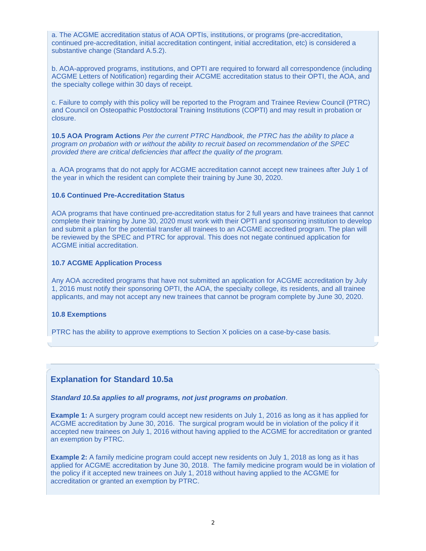a. The ACGME accreditation status of AOA OPTIs, institutions, or programs (pre-accreditation, continued pre-accreditation, initial accreditation contingent, initial accreditation, etc) is considered a substantive change (Standard A.5.2).

b. AOA-approved programs, institutions, and OPTI are required to forward all correspondence (including ACGME Letters of Notification) regarding their ACGME accreditation status to their OPTI, the AOA, and the specialty college within 30 days of receipt.

c. Failure to comply with this policy will be reported to the Program and Trainee Review Council (PTRC) and Council on Osteopathic Postdoctoral Training Institutions (COPTI) and may result in probation or closure.

**10.5 AOA Program Actions** *Per the current PTRC Handbook, the PTRC has the ability to place a program on probation with or without the ability to recruit based on recommendation of the SPEC provided there are critical deficiencies that affect the quality of the program.* 

a. AOA programs that do not apply for ACGME accreditation cannot accept new trainees after July 1 of the year in which the resident can complete their training by June 30, 2020.

#### **10.6 Continued Pre-Accreditation Status**

AOA programs that have continued pre-accreditation status for 2 full years and have trainees that cannot complete their training by June 30, 2020 must work with their OPTI and sponsoring institution to develop and submit a plan for the potential transfer all trainees to an ACGME accredited program. The plan will be reviewed by the SPEC and PTRC for approval. This does not negate continued application for ACGME initial accreditation.

#### **10.7 ACGME Application Process**

Any AOA accredited programs that have not submitted an application for ACGME accreditation by July 1, 2016 must notify their sponsoring OPTI, the AOA, the specialty college, its residents, and all trainee applicants, and may not accept any new trainees that cannot be program complete by June 30, 2020.

#### **10.8 Exemptions**

PTRC has the ability to approve exemptions to Section X policies on a case-by-case basis.

## **Explanation for Standard 10.5a**

#### *Standard 10.5a applies to all programs, not just programs on probation*.

**Example 1:** A surgery program could accept new residents on July 1, 2016 as long as it has applied for ACGME accreditation by June 30, 2016. The surgical program would be in violation of the policy if it accepted new trainees on July 1, 2016 without having applied to the ACGME for accreditation or granted an exemption by PTRC.

**Example 2:** A family medicine program could accept new residents on July 1, 2018 as long as it has applied for ACGME accreditation by June 30, 2018. The family medicine program would be in violation of the policy if it accepted new trainees on July 1, 2018 without having applied to the ACGME for accreditation or granted an exemption by PTRC.